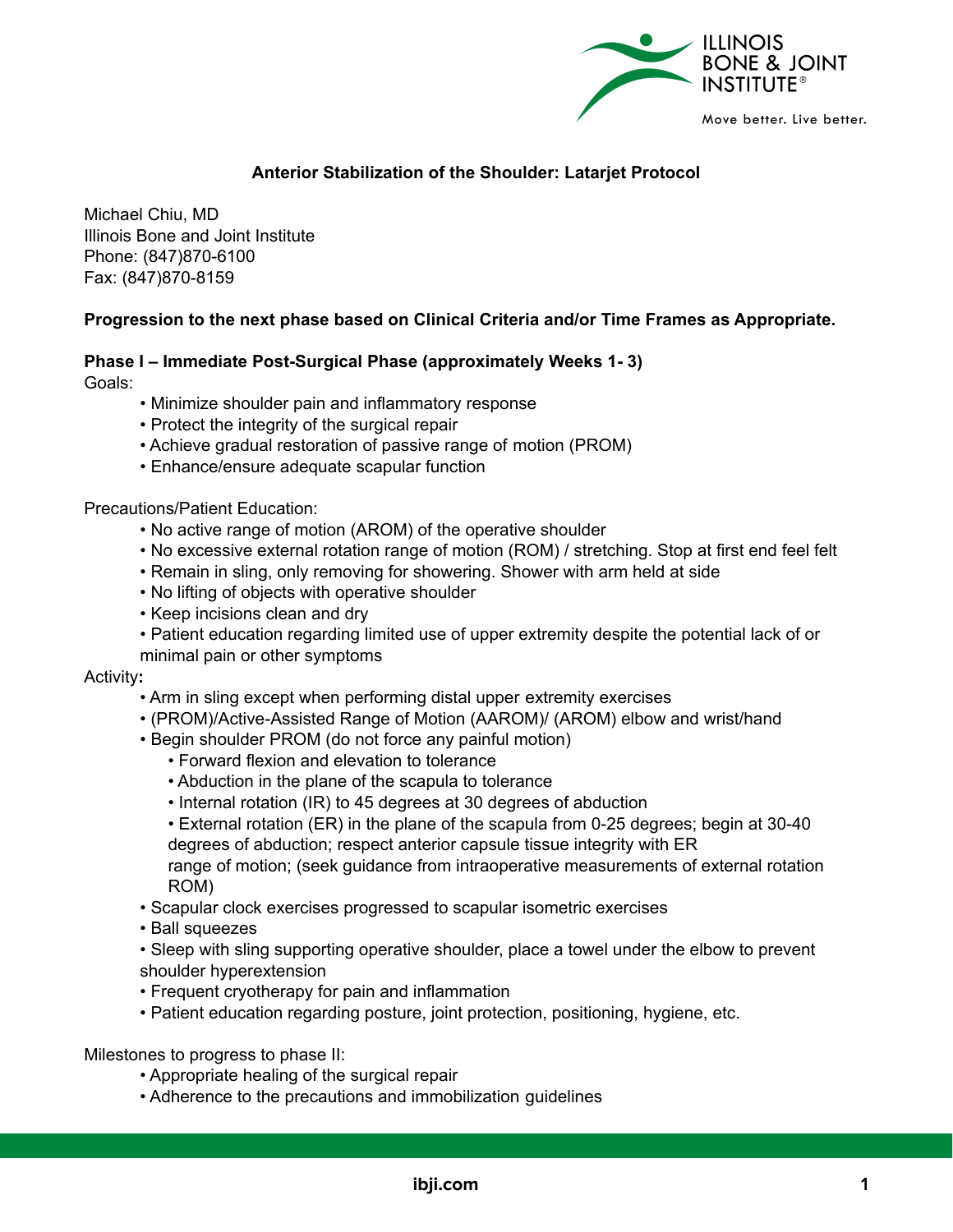

## **Anterior Stabilization of the Shoulder: Latarjet Protocol**

Michael Chiu, MD Illinois Bone and Joint Institute Phone: (847)870-6100 Fax: (847)870-8159

## **Progression to the next phase based on Clinical Criteria and/or Time Frames as Appropriate.**

#### **Phase I – Immediate Post-Surgical Phase (approximately Weeks 1- 3)**

Goals:

- Minimize shoulder pain and inflammatory response
- Protect the integrity of the surgical repair
- Achieve gradual restoration of passive range of motion (PROM)
- Enhance/ensure adequate scapular function

Precautions/Patient Education:

- No active range of motion (AROM) of the operative shoulder
- No excessive external rotation range of motion (ROM) / stretching. Stop at first end feel felt
- Remain in sling, only removing for showering. Shower with arm held at side
- No lifting of objects with operative shoulder
- Keep incisions clean and dry
- Patient education regarding limited use of upper extremity despite the potential lack of or minimal pain or other symptoms

#### Activity**:**

- Arm in sling except when performing distal upper extremity exercises
- (PROM)/Active-Assisted Range of Motion (AAROM)/ (AROM) elbow and wrist/hand
- Begin shoulder PROM (do not force any painful motion)
	- Forward flexion and elevation to tolerance
	- Abduction in the plane of the scapula to tolerance
	- Internal rotation (IR) to 45 degrees at 30 degrees of abduction
	- External rotation (ER) in the plane of the scapula from 0-25 degrees; begin at 30-40 degrees of abduction; respect anterior capsule tissue integrity with ER

range of motion; (seek guidance from intraoperative measurements of external rotation ROM)

- Scapular clock exercises progressed to scapular isometric exercises
- Ball squeezes
- Sleep with sling supporting operative shoulder, place a towel under the elbow to prevent shoulder hyperextension
- Frequent cryotherapy for pain and inflammation
- Patient education regarding posture, joint protection, positioning, hygiene, etc.

Milestones to progress to phase II:

- Appropriate healing of the surgical repair
- Adherence to the precautions and immobilization guidelines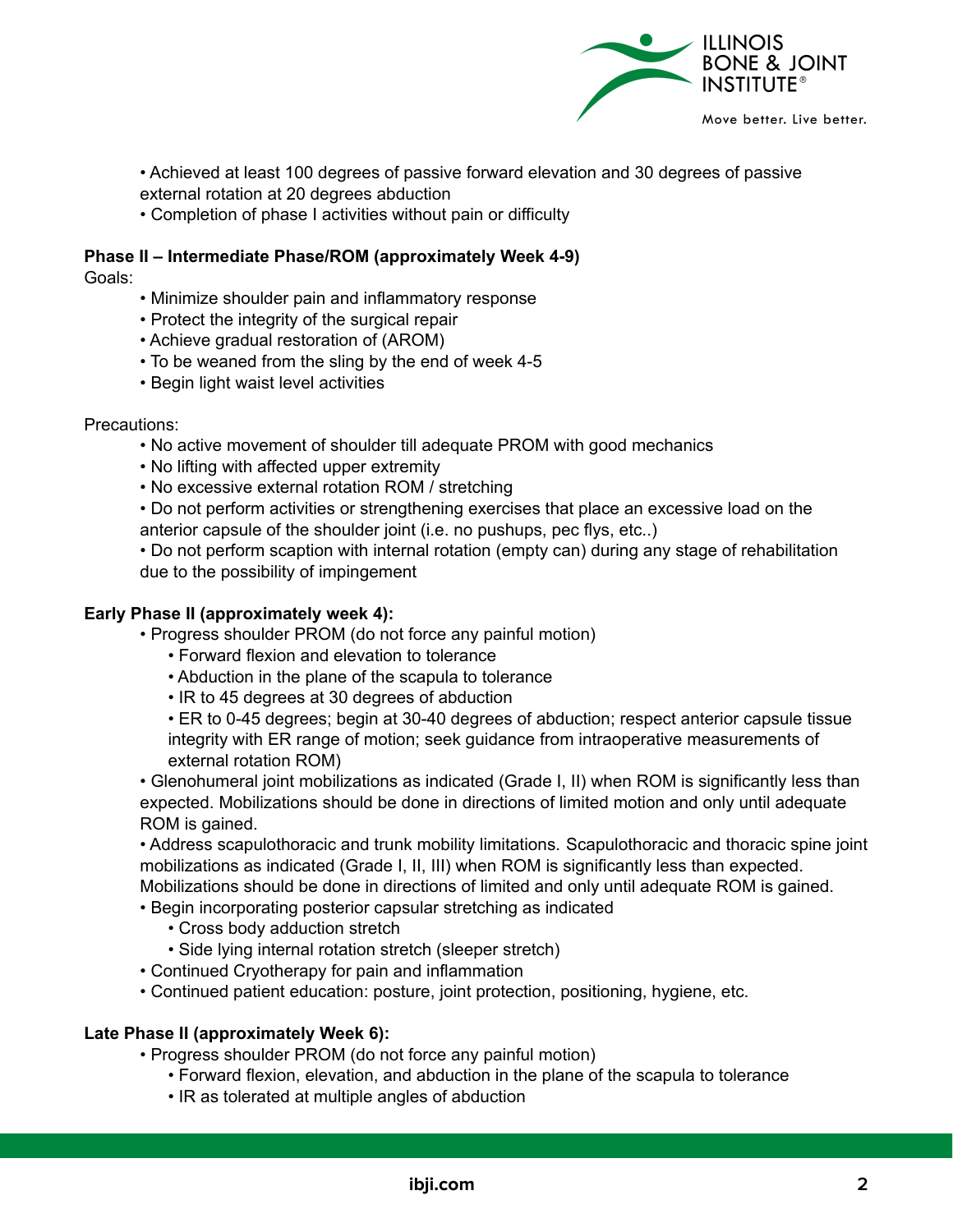

• Achieved at least 100 degrees of passive forward elevation and 30 degrees of passive external rotation at 20 degrees abduction

• Completion of phase I activities without pain or difficulty

# **Phase II – Intermediate Phase/ROM (approximately Week 4-9)**

Goals:

- Minimize shoulder pain and inflammatory response
- Protect the integrity of the surgical repair
- Achieve gradual restoration of (AROM)
- To be weaned from the sling by the end of week 4-5
- Begin light waist level activities

## Precautions:

- No active movement of shoulder till adequate PROM with good mechanics
- No lifting with affected upper extremity
- No excessive external rotation ROM / stretching
- Do not perform activities or strengthening exercises that place an excessive load on the anterior capsule of the shoulder joint (i.e. no pushups, pec flys, etc..)
- Do not perform scaption with internal rotation (empty can) during any stage of rehabilitation due to the possibility of impingement

## **Early Phase II (approximately week 4):**

- Progress shoulder PROM (do not force any painful motion)
	- Forward flexion and elevation to tolerance
	- Abduction in the plane of the scapula to tolerance
	- IR to 45 degrees at 30 degrees of abduction
	- ER to 0-45 degrees; begin at 30-40 degrees of abduction; respect anterior capsule tissue integrity with ER range of motion; seek guidance from intraoperative measurements of external rotation ROM)
- Glenohumeral joint mobilizations as indicated (Grade I, II) when ROM is significantly less than expected. Mobilizations should be done in directions of limited motion and only until adequate ROM is gained.
- Address scapulothoracic and trunk mobility limitations. Scapulothoracic and thoracic spine joint mobilizations as indicated (Grade I, II, III) when ROM is significantly less than expected. Mobilizations should be done in directions of limited and only until adequate ROM is gained.
- Begin incorporating posterior capsular stretching as indicated
	- Cross body adduction stretch
	- Side lying internal rotation stretch (sleeper stretch)
- Continued Cryotherapy for pain and inflammation
- Continued patient education: posture, joint protection, positioning, hygiene, etc.

## **Late Phase II (approximately Week 6):**

- Progress shoulder PROM (do not force any painful motion)
	- Forward flexion, elevation, and abduction in the plane of the scapula to tolerance
	- IR as tolerated at multiple angles of abduction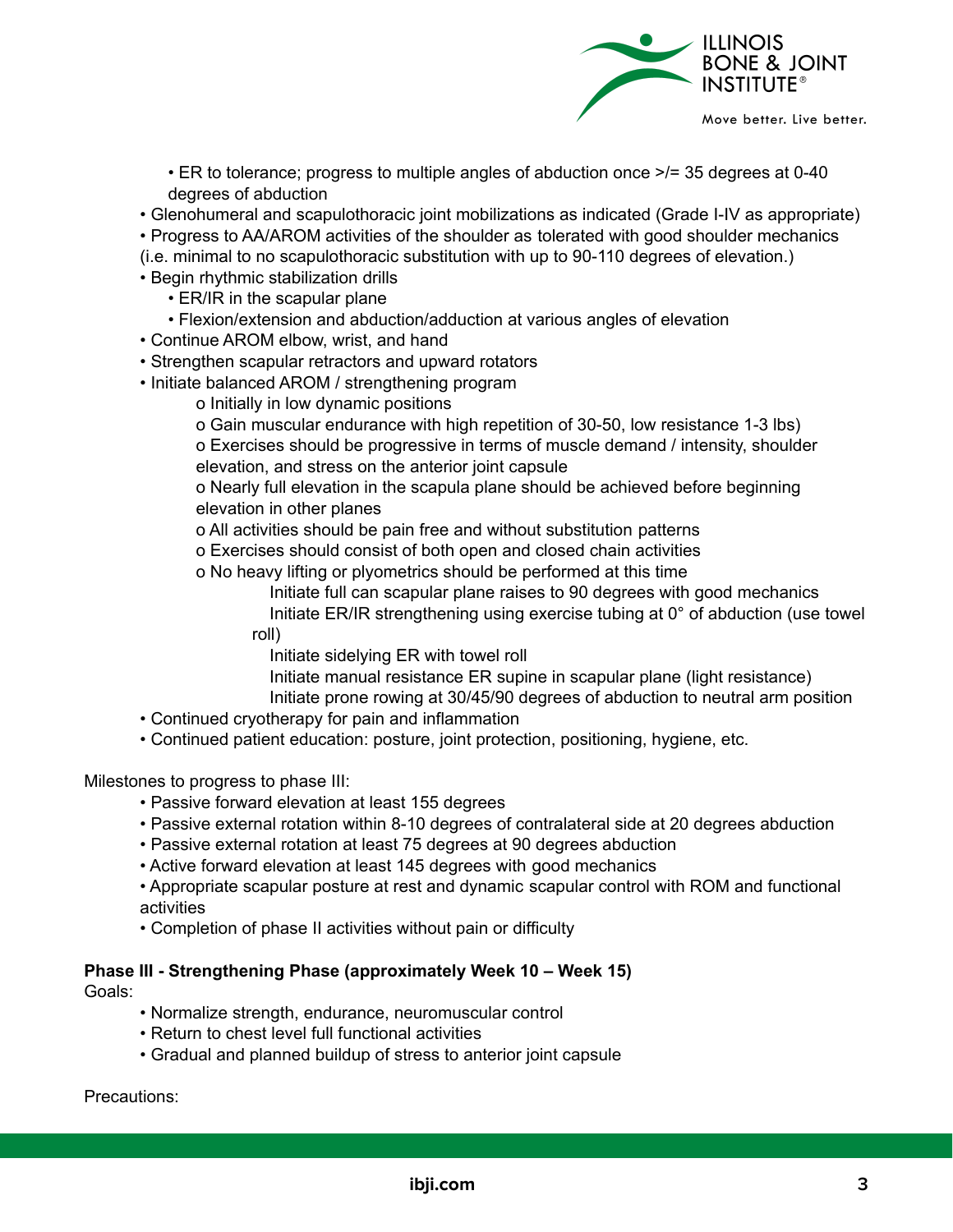

• ER to tolerance; progress to multiple angles of abduction once >/= 35 degrees at 0-40 degrees of abduction

• Glenohumeral and scapulothoracic joint mobilizations as indicated (Grade I-IV as appropriate)

• Progress to AA/AROM activities of the shoulder as tolerated with good shoulder mechanics

(i.e. minimal to no scapulothoracic substitution with up to 90-110 degrees of elevation.)

- Begin rhythmic stabilization drills
	- ER/IR in the scapular plane
	- Flexion/extension and abduction/adduction at various angles of elevation
- Continue AROM elbow, wrist, and hand
- Strengthen scapular retractors and upward rotators
- Initiate balanced AROM / strengthening program
	- o Initially in low dynamic positions
	- o Gain muscular endurance with high repetition of 30-50, low resistance 1-3 lbs)

o Exercises should be progressive in terms of muscle demand / intensity, shoulder elevation, and stress on the anterior joint capsule

o Nearly full elevation in the scapula plane should be achieved before beginning elevation in other planes

o All activities should be pain free and without substitution patterns

o Exercises should consist of both open and closed chain activities

o No heavy lifting or plyometrics should be performed at this time

Initiate full can scapular plane raises to 90 degrees with good mechanics Initiate ER/IR strengthening using exercise tubing at 0° of abduction (use towel

roll)

Initiate sidelying ER with towel roll

Initiate manual resistance ER supine in scapular plane (light resistance)

Initiate prone rowing at 30/45/90 degrees of abduction to neutral arm position

- Continued cryotherapy for pain and inflammation
- Continued patient education: posture, joint protection, positioning, hygiene, etc.

Milestones to progress to phase III:

- Passive forward elevation at least 155 degrees
- Passive external rotation within 8-10 degrees of contralateral side at 20 degrees abduction
- Passive external rotation at least 75 degrees at 90 degrees abduction
- Active forward elevation at least 145 degrees with good mechanics

• Appropriate scapular posture at rest and dynamic scapular control with ROM and functional activities

• Completion of phase II activities without pain or difficulty

# **Phase III - Strengthening Phase (approximately Week 10 – Week 15)**

Goals:

- Normalize strength, endurance, neuromuscular control
- Return to chest level full functional activities
- Gradual and planned buildup of stress to anterior joint capsule

Precautions: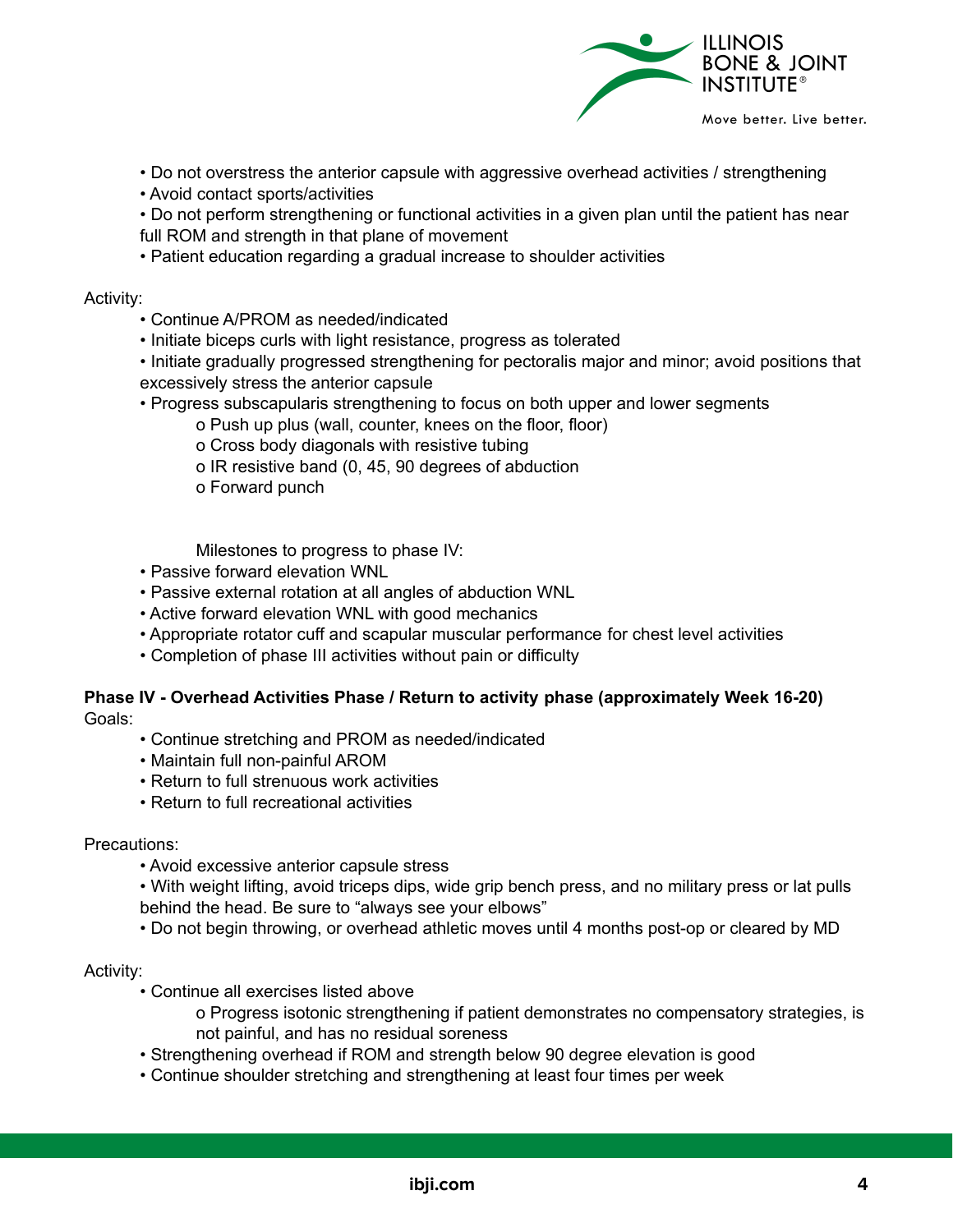

- Do not overstress the anterior capsule with aggressive overhead activities / strengthening
- Avoid contact sports/activities

• Do not perform strengthening or functional activities in a given plan until the patient has near full ROM and strength in that plane of movement

• Patient education regarding a gradual increase to shoulder activities

#### Activity:

- Continue A/PROM as needed/indicated
- Initiate biceps curls with light resistance, progress as tolerated

• Initiate gradually progressed strengthening for pectoralis major and minor; avoid positions that excessively stress the anterior capsule

- Progress subscapularis strengthening to focus on both upper and lower segments
	- o Push up plus (wall, counter, knees on the floor, floor)
	- o Cross body diagonals with resistive tubing
	- o IR resistive band (0, 45, 90 degrees of abduction
	- o Forward punch

Milestones to progress to phase IV:

- Passive forward elevation WNL
- Passive external rotation at all angles of abduction WNL
- Active forward elevation WNL with good mechanics
- Appropriate rotator cuff and scapular muscular performance for chest level activities
- Completion of phase III activities without pain or difficulty

#### **Phase IV - Overhead Activities Phase / Return to activity phase (approximately Week 16-20)** Goals:

- Continue stretching and PROM as needed/indicated
- Maintain full non-painful AROM
- Return to full strenuous work activities
- Return to full recreational activities

#### Precautions:

- Avoid excessive anterior capsule stress
- With weight lifting, avoid triceps dips, wide grip bench press, and no military press or lat pulls behind the head. Be sure to "always see your elbows"
- Do not begin throwing, or overhead athletic moves until 4 months post-op or cleared by MD

## Activity:

- Continue all exercises listed above
	- o Progress isotonic strengthening if patient demonstrates no compensatory strategies, is not painful, and has no residual soreness
- Strengthening overhead if ROM and strength below 90 degree elevation is good
- Continue shoulder stretching and strengthening at least four times per week